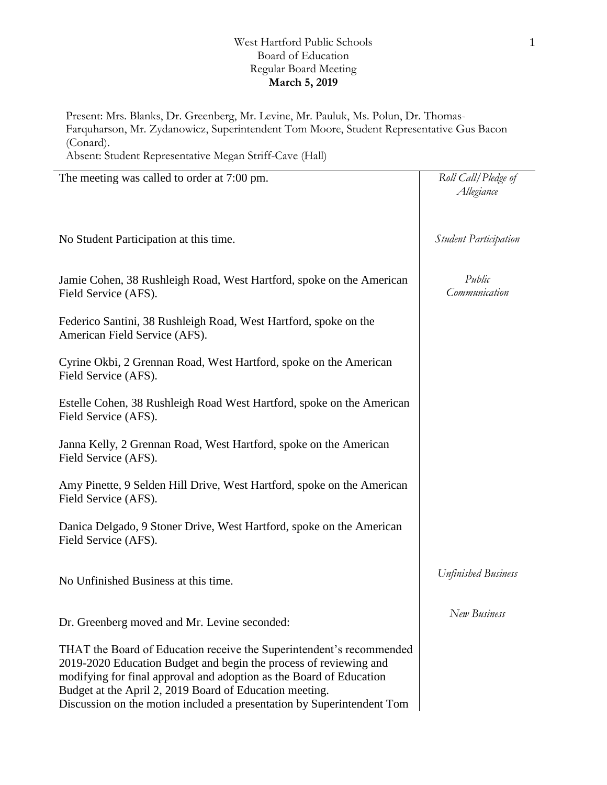## West Hartford Public Schools Board of Education Regular Board Meeting **March 5, 2019**

Present: Mrs. Blanks, Dr. Greenberg, Mr. Levine, Mr. Pauluk, Ms. Polun, Dr. Thomas-Farquharson, Mr. Zydanowicz, Superintendent Tom Moore, Student Representative Gus Bacon (Conard). Absent: Student Representative Megan Striff-Cave (Hall)

The meeting was called to order at 7:00 pm. *Roll Call/Pledge of*  $Roll$  Call/Pledge of *Allegiance* No Student Participation at this time. Jamie Cohen, 38 Rushleigh Road, West Hartford, spoke on the American Field Service (AFS). Federico Santini, 38 Rushleigh Road, West Hartford, spoke on the American Field Service (AFS). Cyrine Okbi, 2 Grennan Road, West Hartford, spoke on the American Field Service (AFS). Estelle Cohen, 38 Rushleigh Road West Hartford, spoke on the American Field Service (AFS). Janna Kelly, 2 Grennan Road, West Hartford, spoke on the American Field Service (AFS). Amy Pinette, 9 Selden Hill Drive, West Hartford, spoke on the American Field Service (AFS). Danica Delgado, 9 Stoner Drive, West Hartford, spoke on the American Field Service (AFS). No Unfinished Business at this time. Dr. Greenberg moved and Mr. Levine seconded: THAT the Board of Education receive the Superintendent's recommended 2019-2020 Education Budget and begin the process of reviewing and modifying for final approval and adoption as the Board of Education Budget at the April 2, 2019 Board of Education meeting. Discussion on the motion included a presentation by Superintendent Tom *Student Participation Public Communication Unfinished Business New Business*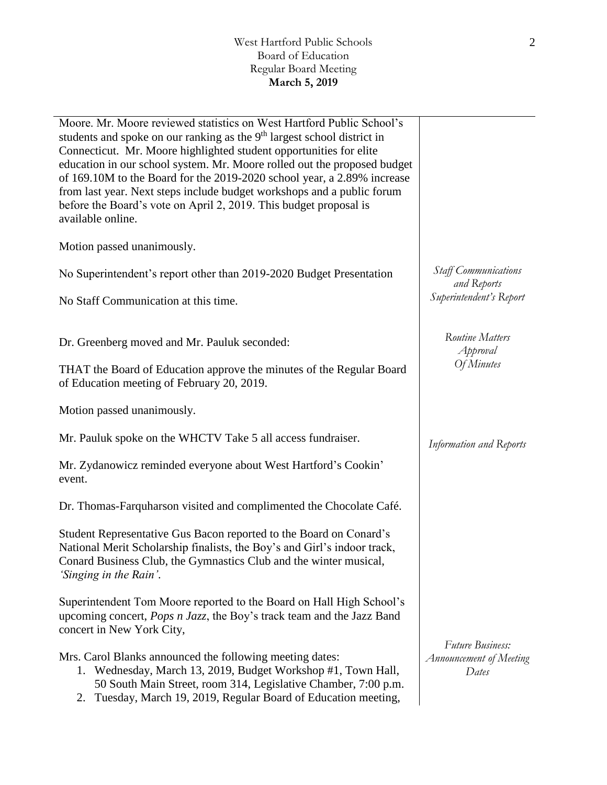| Moore. Mr. Moore reviewed statistics on West Hartford Public School's<br>students and spoke on our ranking as the 9 <sup>th</sup> largest school district in<br>Connecticut. Mr. Moore highlighted student opportunities for elite<br>education in our school system. Mr. Moore rolled out the proposed budget<br>of 169.10M to the Board for the 2019-2020 school year, a 2.89% increase<br>from last year. Next steps include budget workshops and a public forum<br>before the Board's vote on April 2, 2019. This budget proposal is<br>available online. |                                                                    |
|---------------------------------------------------------------------------------------------------------------------------------------------------------------------------------------------------------------------------------------------------------------------------------------------------------------------------------------------------------------------------------------------------------------------------------------------------------------------------------------------------------------------------------------------------------------|--------------------------------------------------------------------|
| Motion passed unanimously.                                                                                                                                                                                                                                                                                                                                                                                                                                                                                                                                    |                                                                    |
| No Superintendent's report other than 2019-2020 Budget Presentation                                                                                                                                                                                                                                                                                                                                                                                                                                                                                           | <b>Staff Communications</b><br>and Reports                         |
| No Staff Communication at this time.                                                                                                                                                                                                                                                                                                                                                                                                                                                                                                                          | Superintendent's Report                                            |
| Dr. Greenberg moved and Mr. Pauluk seconded:                                                                                                                                                                                                                                                                                                                                                                                                                                                                                                                  | Routine Matters<br>Approval                                        |
| THAT the Board of Education approve the minutes of the Regular Board<br>of Education meeting of February 20, 2019.                                                                                                                                                                                                                                                                                                                                                                                                                                            | <b>Of Minutes</b>                                                  |
| Motion passed unanimously.                                                                                                                                                                                                                                                                                                                                                                                                                                                                                                                                    |                                                                    |
| Mr. Pauluk spoke on the WHCTV Take 5 all access fundraiser.                                                                                                                                                                                                                                                                                                                                                                                                                                                                                                   | Information and Reports                                            |
| Mr. Zydanowicz reminded everyone about West Hartford's Cookin'<br>event.                                                                                                                                                                                                                                                                                                                                                                                                                                                                                      |                                                                    |
| Dr. Thomas-Farquharson visited and complimented the Chocolate Café.                                                                                                                                                                                                                                                                                                                                                                                                                                                                                           |                                                                    |
| Student Representative Gus Bacon reported to the Board on Conard's<br>National Merit Scholarship finalists, the Boy's and Girl's indoor track,<br>Conard Business Club, the Gymnastics Club and the winter musical,<br>'Singing in the Rain'.                                                                                                                                                                                                                                                                                                                 |                                                                    |
| Superintendent Tom Moore reported to the Board on Hall High School's<br>upcoming concert, <i>Pops n Jazz</i> , the Boy's track team and the Jazz Band<br>concert in New York City,                                                                                                                                                                                                                                                                                                                                                                            |                                                                    |
| Mrs. Carol Blanks announced the following meeting dates:<br>1. Wednesday, March 13, 2019, Budget Workshop #1, Town Hall,<br>50 South Main Street, room 314, Legislative Chamber, 7:00 p.m.<br>Tuesday, March 19, 2019, Regular Board of Education meeting,<br>2.                                                                                                                                                                                                                                                                                              | <b>Future Business:</b><br><b>Announcement of Meeting</b><br>Dates |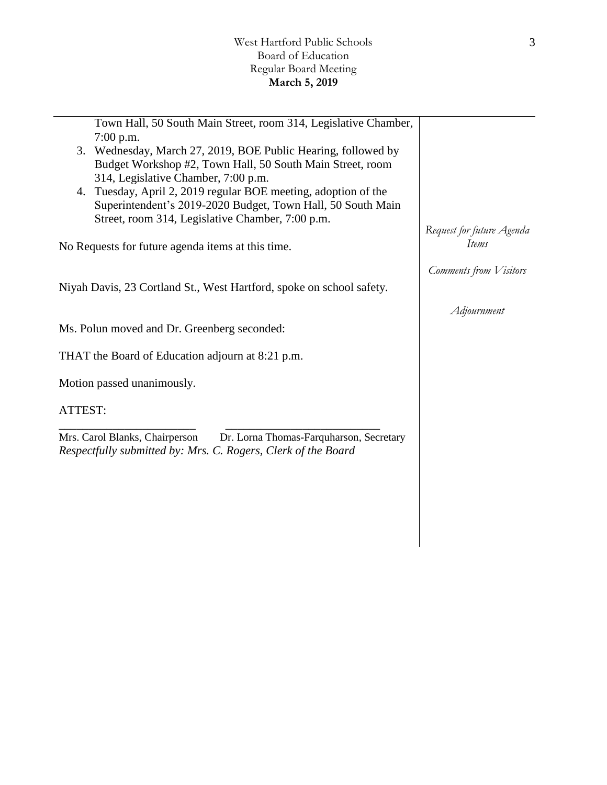| Town Hall, 50 South Main Street, room 314, Legislative Chamber,<br>$7:00$ p.m.                                                             |                           |
|--------------------------------------------------------------------------------------------------------------------------------------------|---------------------------|
| 3. Wednesday, March 27, 2019, BOE Public Hearing, followed by                                                                              |                           |
| Budget Workshop #2, Town Hall, 50 South Main Street, room                                                                                  |                           |
| 314, Legislative Chamber, 7:00 p.m.                                                                                                        |                           |
| Tuesday, April 2, 2019 regular BOE meeting, adoption of the<br>4.                                                                          |                           |
| Superintendent's 2019-2020 Budget, Town Hall, 50 South Main                                                                                |                           |
| Street, room 314, Legislative Chamber, 7:00 p.m.                                                                                           | Request for future Agenda |
| No Requests for future agenda items at this time.                                                                                          | Items                     |
|                                                                                                                                            | Comments from Visitors    |
|                                                                                                                                            |                           |
| Niyah Davis, 23 Cortland St., West Hartford, spoke on school safety.                                                                       |                           |
|                                                                                                                                            | Adjournment               |
| Ms. Polun moved and Dr. Greenberg seconded:                                                                                                |                           |
| THAT the Board of Education adjourn at 8:21 p.m.                                                                                           |                           |
| Motion passed unanimously.                                                                                                                 |                           |
| ATTEST:                                                                                                                                    |                           |
| Dr. Lorna Thomas-Farquharson, Secretary<br>Mrs. Carol Blanks, Chairperson<br>Respectfully submitted by: Mrs. C. Rogers, Clerk of the Board |                           |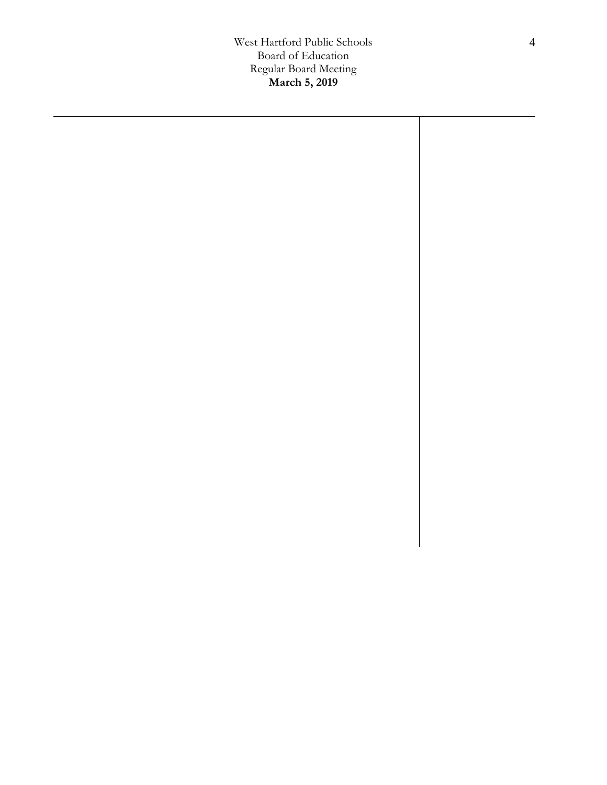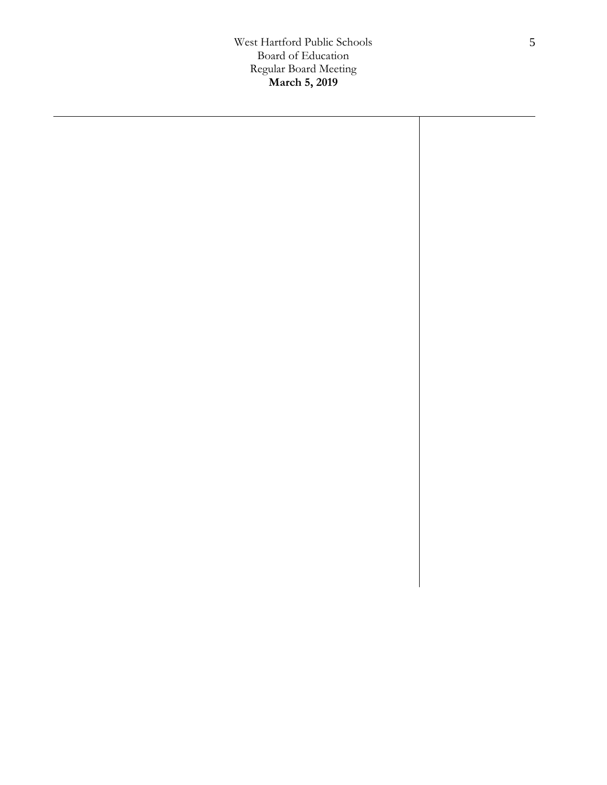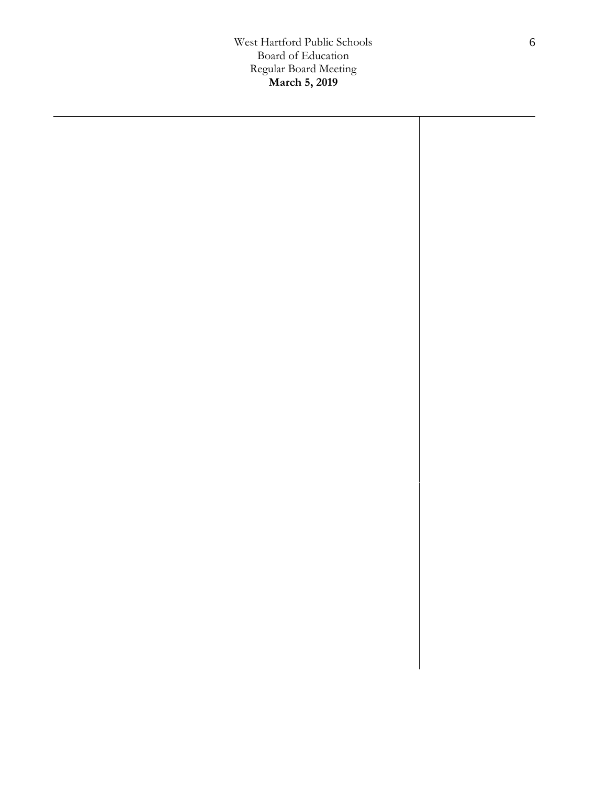